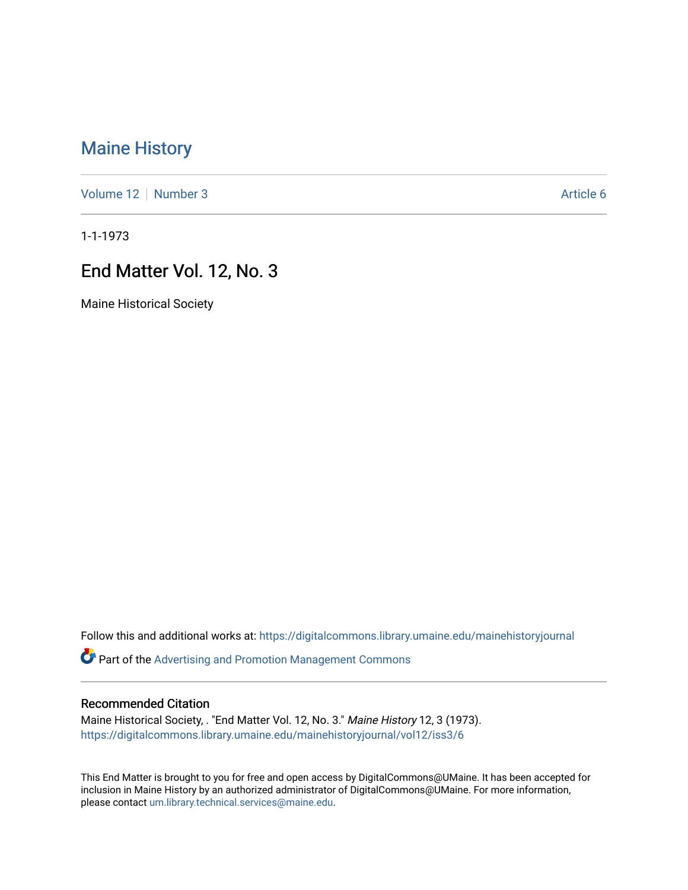# [Maine History](https://digitalcommons.library.umaine.edu/mainehistoryjournal)

[Volume 12](https://digitalcommons.library.umaine.edu/mainehistoryjournal/vol12) [Number 3](https://digitalcommons.library.umaine.edu/mainehistoryjournal/vol12/iss3) Article 6

1-1-1973

# End Matter Vol. 12, No. 3

Maine Historical Society

Follow this and additional works at: [https://digitalcommons.library.umaine.edu/mainehistoryjournal](https://digitalcommons.library.umaine.edu/mainehistoryjournal?utm_source=digitalcommons.library.umaine.edu%2Fmainehistoryjournal%2Fvol12%2Fiss3%2F6&utm_medium=PDF&utm_campaign=PDFCoverPages) 

Part of the [Advertising and Promotion Management Commons](http://network.bepress.com/hgg/discipline/626?utm_source=digitalcommons.library.umaine.edu%2Fmainehistoryjournal%2Fvol12%2Fiss3%2F6&utm_medium=PDF&utm_campaign=PDFCoverPages) 

#### Recommended Citation

Maine Historical Society, . "End Matter Vol. 12, No. 3." Maine History 12, 3 (1973). [https://digitalcommons.library.umaine.edu/mainehistoryjournal/vol12/iss3/6](https://digitalcommons.library.umaine.edu/mainehistoryjournal/vol12/iss3/6?utm_source=digitalcommons.library.umaine.edu%2Fmainehistoryjournal%2Fvol12%2Fiss3%2F6&utm_medium=PDF&utm_campaign=PDFCoverPages)

This End Matter is brought to you for free and open access by DigitalCommons@UMaine. It has been accepted for inclusion in Maine History by an authorized administrator of DigitalCommons@UMaine. For more information, please contact [um.library.technical.services@maine.edu.](mailto:um.library.technical.services@maine.edu)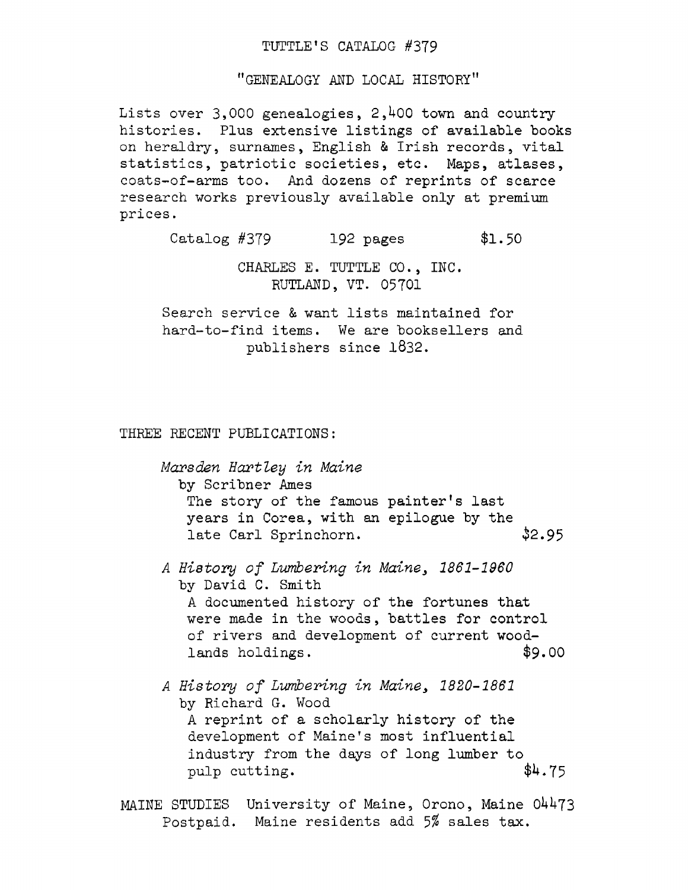### TUTTLE'S CATALOG #379

"GENEALOGY AND LOCAL HISTORY"

Lists over  $3,000$  genealogies,  $2,400$  town and country histories. Plus extensive listings of available books on heraldry, surnames, English & Irish records, vital statistics, patriotic societies, etc. Maps, atlases, coats-of-arms too. And dozens of reprints of scarce research works previously available only at premium prices.

Catalog #379 192 pages \$1.50

CHARLES E. TUTTLE CO., INC. RUTLAND, VT. 05701

Search service & want lists maintained for hard-to-find items. We are booksellers and publishers since 1832.

THREE RECENT PUBLICATIONS:

*Marsden Hartley in Maine* by Scribner Ames The story of the famous painter'<sup>s</sup> last years in Corea, with an epilogue by the late Carl Sprinchorn.  $$2.95$ 

- *<sup>A</sup> History of Lumbering in Maine> 1861-1960* by David C. Smith <sup>A</sup> documented history of the fortunes that were made in the woods, battles for control of rivers and development of current woodlands holdings.  $$9.00$
- *<sup>A</sup> History of Lumbering in Maine\* 1820-1861* by Richard G. Wood <sup>A</sup> reprint of a scholarly history of the development of Maine'<sup>s</sup> most influential industry from the days of long lumber to pulp cutting.  $$4.75$

MAINE STUDIES University of Maine, Orono, Maine 04473 Postpaid. Maine residents add 5% sales tax.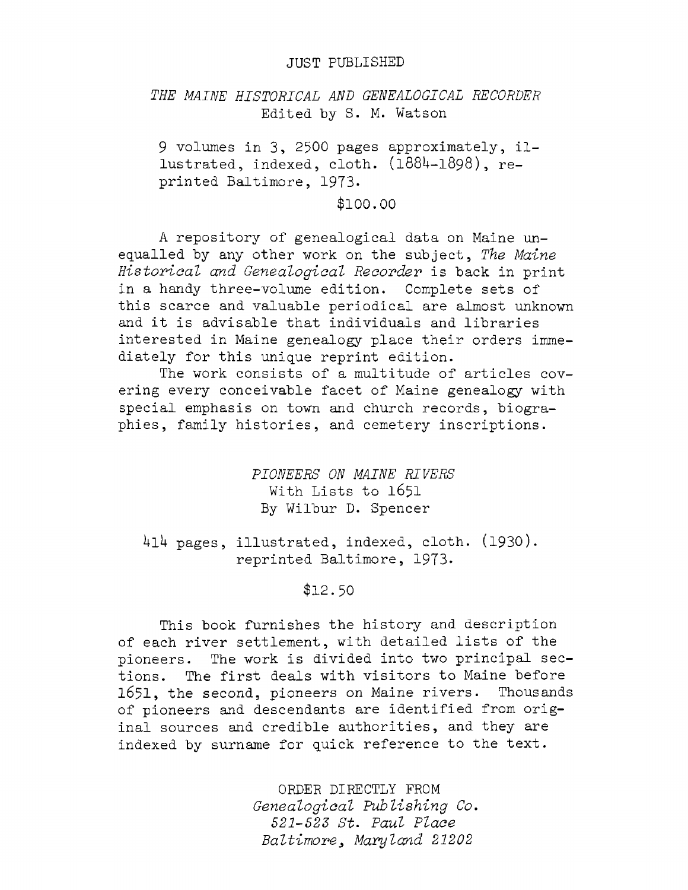#### JUST PUBLISHED

## *THE MAINE HISTORICAL AND GENEALOGICAL RECORDER* Edited by S. M. Watson

<sup>9</sup> volumes in 3, <sup>2500</sup> pages approximately, illustrated, indexed, cloth.  $(1884-1898)$ , reprinted Baltimore, 1973.

\$100.00

<sup>A</sup> repository of genealogical data on Maine unequalled hy any other work on the subject, *The Maine Historical and Genealogical Recorder* is back in print in a handy three-volume edition. Complete sets of this scarce and valuable periodical are almost unknown and it is advisable that individuals and libraries interested in Maine genealogy place their orders immediately for this unique reprint edition.

The work consists of a multitude of articles covering every conceivable facet of Maine genealogy with special emphasis on town and church records, biographies, family histories, and cemetery inscriptions.

> *PIONEERS ON MAINE RIVERS* With Lists to 1651 By Wilbur D. Spencer

414 pages, illustrated, indexed, cloth. (1930). reprinted Baltimore, 1973.

\$12.50

This book furnishes the history and description of each river settlement, with detailed lists of the pioneers. The work is divided into two principal sections. The first deals with visitors to Maine before 1651, the second, pioneers on Maine rivers. Thousands of pioneers and descendants are identified from original sources and credible authorities, and they are indexed by surname for quick reference to the text.

> ORDER DIRECTLY FROM *Genealogical Publishing Co. 521-523 St. Paul Place Baltimore<sup>3</sup> Maryland 21202*